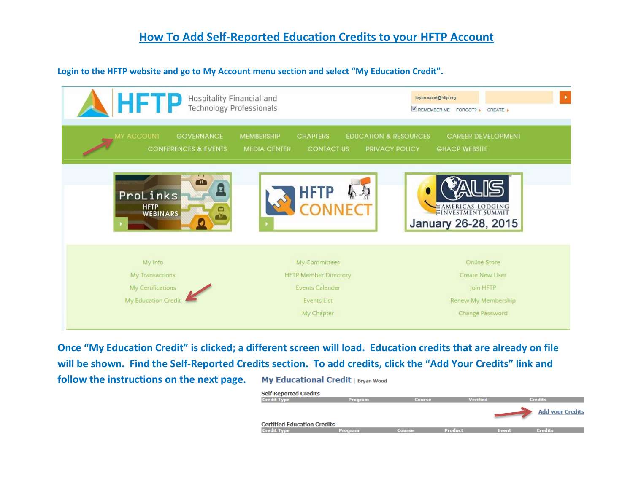## **How To Add Self-Reported Education Credits to your HFTP Account**

## **Login to the HFTP website and go to My Account menu section and select "My Education Credit".**

| HFTP<br>Hospitality Financial and<br><b>Technology Professionals</b>   |                                                                                                                                        | $\blacktriangleright$<br>bryan.wood@hftp.org<br>REMEMBER ME FORGOT? CREATE                                  |
|------------------------------------------------------------------------|----------------------------------------------------------------------------------------------------------------------------------------|-------------------------------------------------------------------------------------------------------------|
| MY ACCOUNT<br><b>GOVERNANCE</b><br><b>CONFERENCES &amp; EVENTS</b>     | <b>MEMBERSHIP</b><br><b>CHAPTERS</b><br><b>EDUCATION &amp; RESOURCES</b><br><b>MEDIA CENTER</b><br><b>CONTACT US</b><br>PRIVACY POLICY | <b>CAREER DEVELOPMENT</b><br><b>GHACP WEBSITE</b>                                                           |
| ₩<br>E<br>ProLinks<br>HFTP<br>WEBINARS                                 | <b>HFTP</b>                                                                                                                            | EAMERICAS LODGING<br>January 26-28, 2015                                                                    |
| My Info<br>My Transactions<br>My Certifications<br>My Education Credit | My Committees<br><b>HFTP Member Directory</b><br>Events Calendar<br><b>Events List</b><br>My Chapter                                   | <b>Online Store</b><br><b>Create New User</b><br>Join HFTP<br>Renew My Membership<br><b>Change Password</b> |

**Once "My Education Credit" is clicked; a different screen will load. Education credits that are already on file will be shown. Find the Self-Reported Credits section. To add credits, click the "Add Your Credits" link and follow the instructions on the next page.** My Educational Credit | Bryan Wood

| <b>Self Reported Credits</b>       |                |               |                |       |                         |
|------------------------------------|----------------|---------------|----------------|-------|-------------------------|
| <b>Credit Type</b>                 | <b>Program</b> | <b>Course</b> | Verified       |       | <b>Credits</b>          |
|                                    |                |               |                |       | <b>Add your Credits</b> |
| <b>Certified Education Credits</b> |                |               |                |       |                         |
| <b>Credit Type</b>                 | <b>Program</b> | <b>Course</b> | <b>Product</b> | Event | <b>Credits</b>          |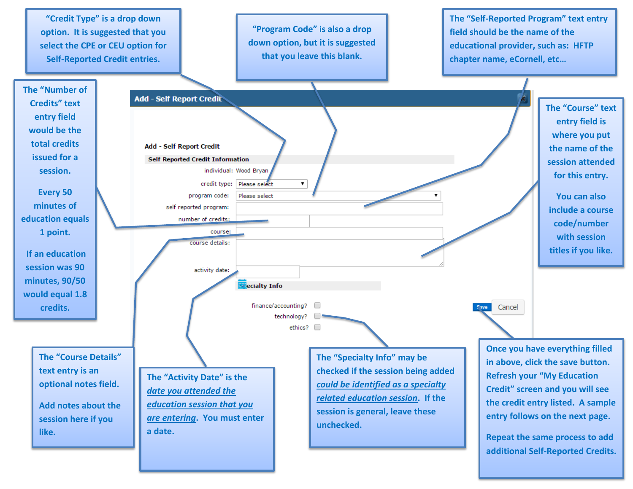